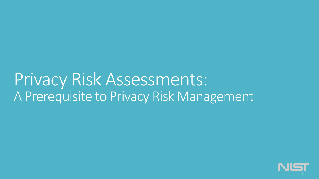# Privacy Risk Assessments: A Prerequisite to Privacy Risk Management

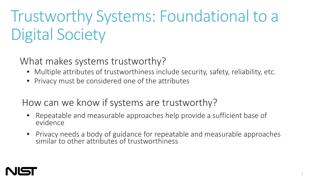# Trustworthy Systems: Foundational to a Digital Society

What makes systems trustworthy?

- Multiple attributes of trustworthiness include security, safety, reliability, etc.
- Privacy must be considered one of the attributes

How can we know if systems are trustworthy?

- Repeatable and measurable approaches help provide a sufficient base of evidence
- Privacy needs a body of guidance for repeatable and measurable approaches similar to other attributes of trustworthiness

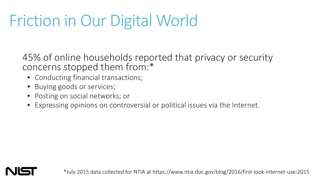# Friction in Our Digital World

45% of online households reported that privacy or security concerns stopped them from:\*

- Conducting financial transactions;
- Buying goods or services;
- Posting on social networks; or
- Expressing opinions on controversial or political issues via the Internet.

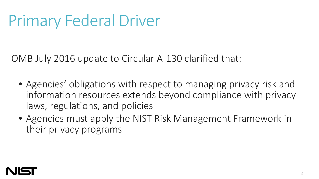# Primary Federal Driver

OMB July 2016 update to Circular A-130 clarified that:

- Agencies' obligations with respect to managing privacy risk and information resources extends beyond compliance with privacy laws, regulations, and policies
- Agencies must apply the NIST Risk Management Framework in their privacy programs

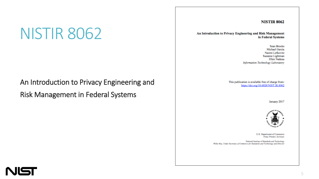# NISTIR 8062

### An Introduction to Privacy Engineering and

Risk Management in Federal Systems

#### **NISTIR 8062**

An Introduction to Privacy Engineering and Risk Management in Federal Systems

> **Sean Brooks** Michael Garcia Naomi Lefkovitz Suzanne Lightman Ellen Nadeau Information Technology Laboratory

This publication is available free of charge from: https://doi.org/10.6028/NIST.IR.8062

January 2017



U.S. Department of Commerce Penny Pritzker, Secretary

National Institute of Standards and Technology Willie May, Under Secretary of Commerce for Standards and Technology and Director

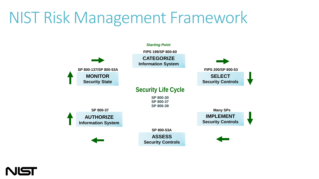# NIST Risk Management Framework



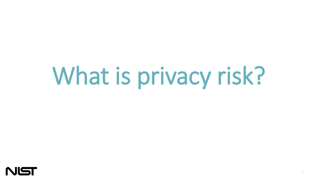# What is privacy risk?

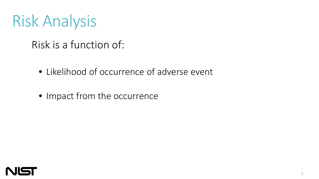# Risk Analysis

#### Risk is a function of:

- Likelihood of occurrence of adverse event
- Impact from the occurrence

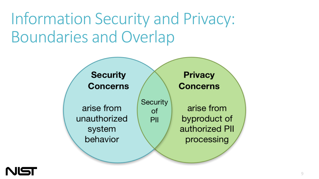# Information Security and Privacy: Boundaries and Overlap



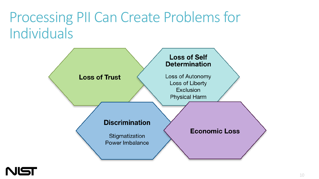## Processing PII Can Create Problems for Individuals



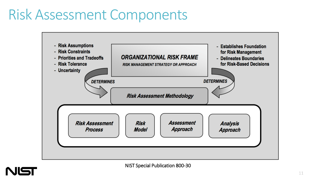# Risk Assessment Components



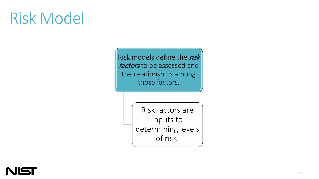# Risk Model

Risk models define the risk factors to be assessed and the relationships among those factors.

> Risk factors are inputs to determining levels of risk.

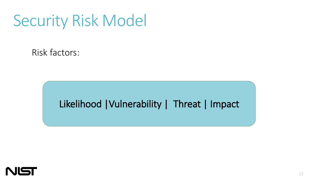# Security Risk Model

Risk factors:

#### Likelihood |Vulnerability | Threat | Impact

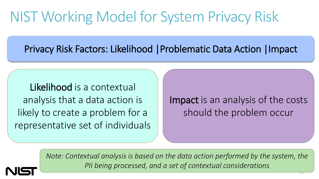# NIST Working Model for System Privacy Risk

Privacy Risk Factors: Likelihood |Problematic Data Action |Impact

Likelihood is a contextual analysis that a data action is likely to create a problem for a representative set of individuals

Impact is an analysis of the costs should the problem occur

*Note: Contextual analysis is based on the data action performed by the system, the PII being processed, and a set of contextual considerations*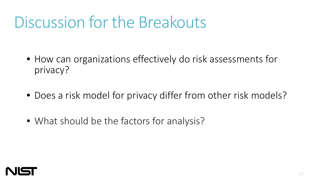# Discussion for the Breakouts

- How can organizations effectively do risk assessments for privacy?
- Does a risk model for privacy differ from other risk models?
- What should be the factors for analysis?

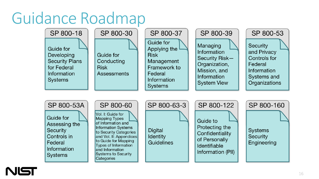# Guidance Roadmap



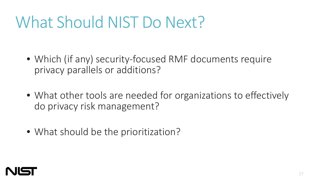# What Should NIST Do Next?

- Which (if any) security-focused RMF documents require privacy parallels or additions?
- What other tools are needed for organizations to effectively do privacy risk management?
- What should be the prioritization?